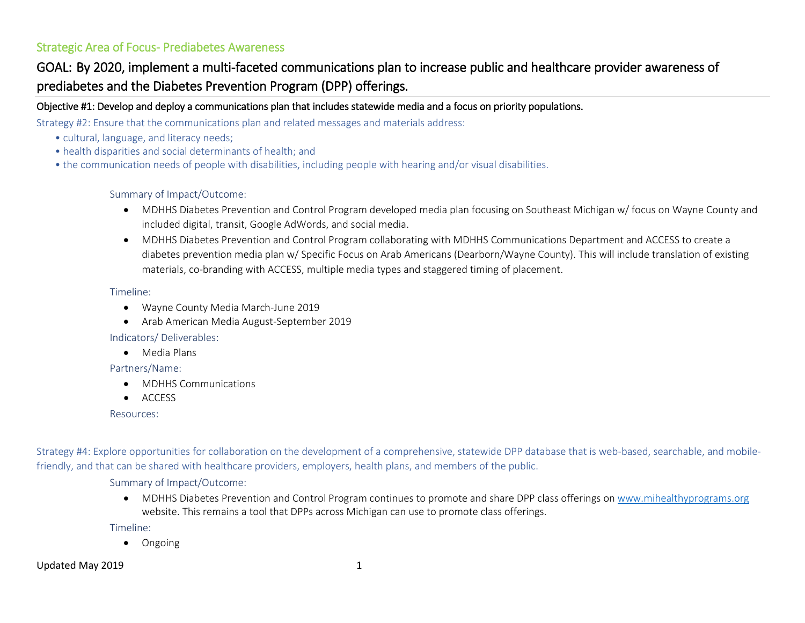# Strategic Area of Focus- Prediabetes Awareness

# GOAL: By 2020, implement a multi-faceted communications plan to increase public and healthcare provider awareness of prediabetes and the Diabetes Prevention Program (DPP) offerings.

### Objective #1: Develop and deploy a communications plan that includes statewide media and a focus on priority populations.

Strategy #2: Ensure that the communications plan and related messages and materials address:

- cultural, language, and literacy needs;
- health disparities and social determinants of health; and
- the communication needs of people with disabilities, including people with hearing and/or visual disabilities.

### Summary of Impact/Outcome:

- MDHHS Diabetes Prevention and Control Program developed media plan focusing on Southeast Michigan w/ focus on Wayne County and included digital, transit, Google AdWords, and social media.
- MDHHS Diabetes Prevention and Control Program collaborating with MDHHS Communications Department and ACCESS to create a diabetes prevention media plan w/ Specific Focus on Arab Americans (Dearborn/Wayne County). This will include translation of existing materials, co-branding with ACCESS, multiple media types and staggered timing of placement.

### Timeline:

- Wayne County Media March-June 2019
- Arab American Media August-September 2019

Indicators/ Deliverables:

• Media Plans

### Partners/Name:

- MDHHS Communications
- ACCESS

Resources:

Strategy #4: Explore opportunities for collaboration on the development of a comprehensive, statewide DPP database that is web-based, searchable, and mobilefriendly, and that can be shared with healthcare providers, employers, health plans, and members of the public.

Summary of Impact/Outcome:

• MDHHS Diabetes Prevention and Control Program continues to promote and share DPP class offerings o[n www.mihealthyprograms.org](http://www.mihealthyprograms.org/) website. This remains a tool that DPPs across Michigan can use to promote class offerings.

Timeline:

• Ongoing

Updated May 2019 1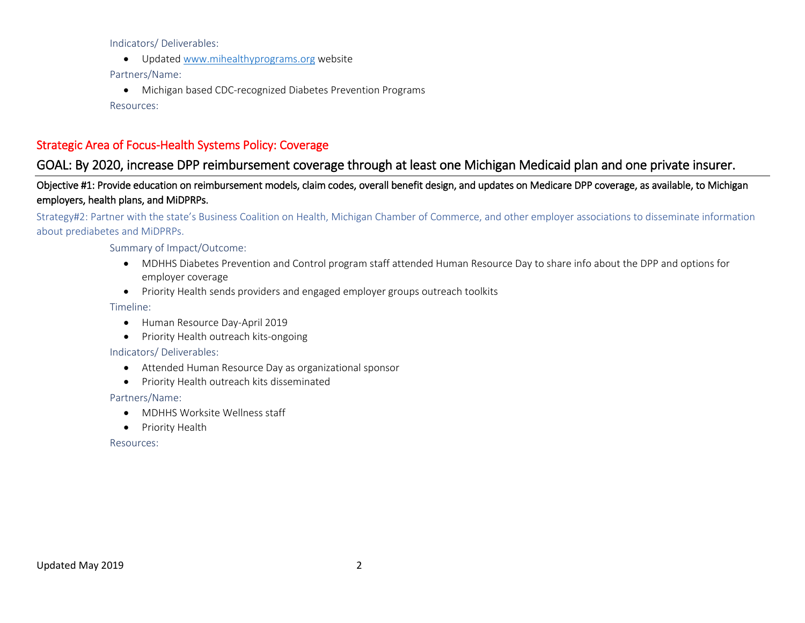Indicators/ Deliverables:

• Updated [www.mihealthyprograms.org](http://www.mihealthyprograms.org/) website

Partners/Name:

• Michigan based CDC-recognized Diabetes Prevention Programs

Resources:

# Strategic Area of Focus-Health Systems Policy: Coverage

# GOAL: By 2020, increase DPP reimbursement coverage through at least one Michigan Medicaid plan and one private insurer.

## Objective #1: Provide education on reimbursement models, claim codes, overall benefit design, and updates on Medicare DPP coverage, as available, to Michigan employers, health plans, and MiDPRPs.

### Strategy#2: Partner with the state's Business Coalition on Health, Michigan Chamber of Commerce, and other employer associations to disseminate information about prediabetes and MiDPRPs.

### Summary of Impact/Outcome:

- MDHHS Diabetes Prevention and Control program staff attended Human Resource Day to share info about the DPP and options for employer coverage
- Priority Health sends providers and engaged employer groups outreach toolkits

### Timeline:

- Human Resource Day-April 2019
- Priority Health outreach kits-ongoing

### Indicators/ Deliverables:

- Attended Human Resource Day as organizational sponsor
- Priority Health outreach kits disseminated

### Partners/Name:

- MDHHS Worksite Wellness staff
- Priority Health

#### Resources: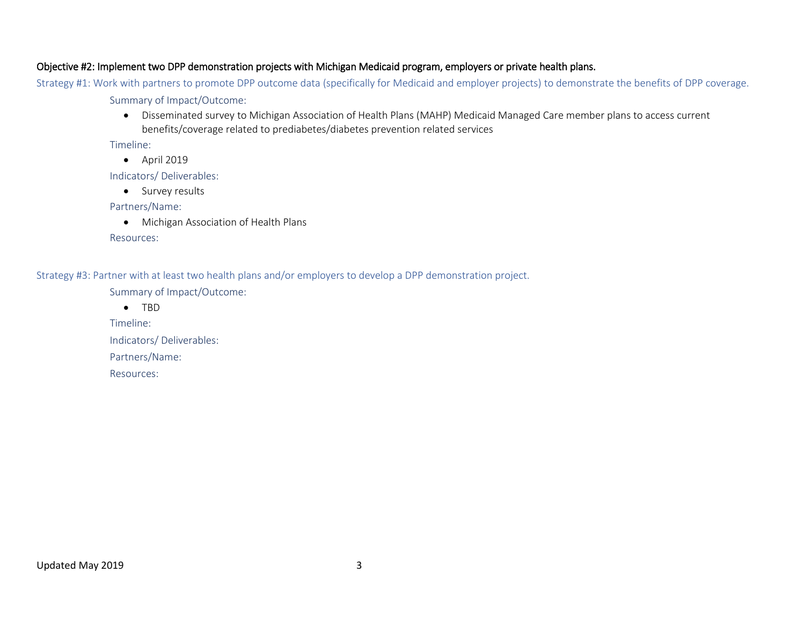### Objective #2: Implement two DPP demonstration projects with Michigan Medicaid program, employers or private health plans.

Strategy #1: Work with partners to promote DPP outcome data (specifically for Medicaid and employer projects) to demonstrate the benefits of DPP coverage.

Summary of Impact/Outcome:

• Disseminated survey to Michigan Association of Health Plans (MAHP) Medicaid Managed Care member plans to access current benefits/coverage related to prediabetes/diabetes prevention related services

Timeline:

• April 2019

Indicators/ Deliverables:

• Survey results

Partners/Name:

• Michigan Association of Health Plans

Resources:

Strategy #3: Partner with at least two health plans and/or employers to develop a DPP demonstration project.

Summary of Impact/Outcome:

• TBD

Timeline:

Indicators/ Deliverables:

Partners/Name:

Resources: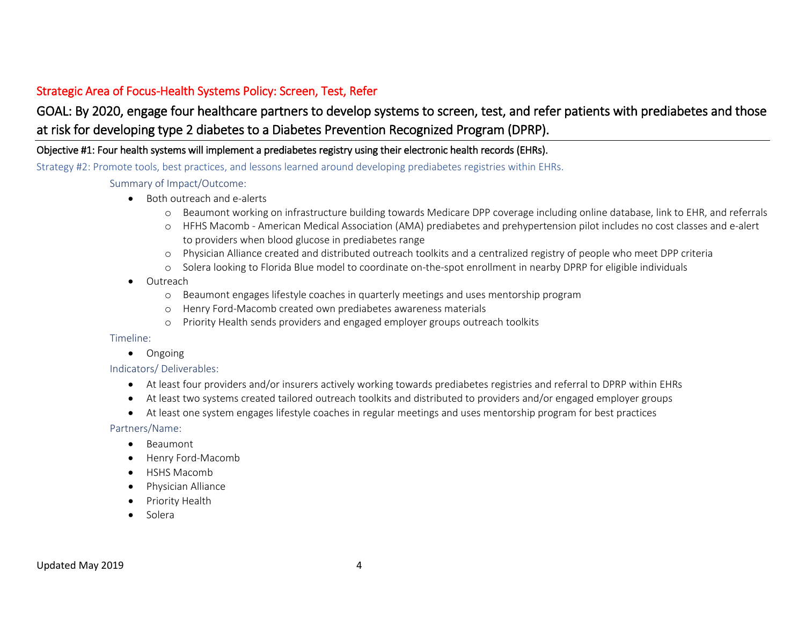# Strategic Area of Focus-Health Systems Policy: Screen, Test, Refer

# GOAL: By 2020, engage four healthcare partners to develop systems to screen, test, and refer patients with prediabetes and those at risk for developing type 2 diabetes to a Diabetes Prevention Recognized Program (DPRP).

### Objective #1: Four health systems will implement a prediabetes registry using their electronic health records (EHRs).

Strategy #2: Promote tools, best practices, and lessons learned around developing prediabetes registries within EHRs.

### Summary of Impact/Outcome:

- Both outreach and e-alerts
	- o Beaumont working on infrastructure building towards Medicare DPP coverage including online database, link to EHR, and referrals
	- o HFHS Macomb American Medical Association (AMA) prediabetes and prehypertension pilot includes no cost classes and e-alert to providers when blood glucose in prediabetes range
	- o Physician Alliance created and distributed outreach toolkits and a centralized registry of people who meet DPP criteria
	- o Solera looking to Florida Blue model to coordinate on-the-spot enrollment in nearby DPRP for eligible individuals
- Outreach
	- o Beaumont engages lifestyle coaches in quarterly meetings and uses mentorship program
	- o Henry Ford-Macomb created own prediabetes awareness materials
	- o Priority Health sends providers and engaged employer groups outreach toolkits

### Timeline:

• Ongoing

### Indicators/ Deliverables:

- At least four providers and/or insurers actively working towards prediabetes registries and referral to DPRP within EHRs
- At least two systems created tailored outreach toolkits and distributed to providers and/or engaged employer groups
- At least one system engages lifestyle coaches in regular meetings and uses mentorship program for best practices

### Partners/Name:

- Beaumont
- Henry Ford-Macomb
- HSHS Macomb
- Physician Alliance
- Priority Health
- Solera